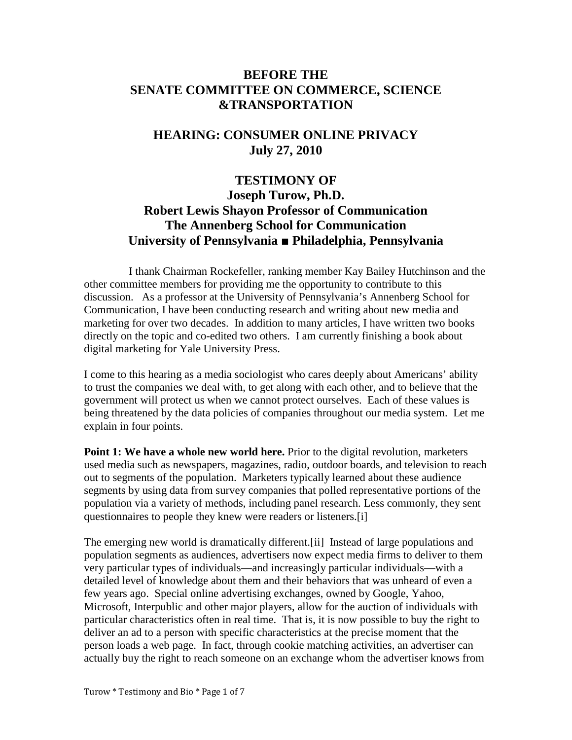## **BEFORE THE SENATE COMMITTEE ON COMMERCE, SCIENCE &TRANSPORTATION**

# **HEARING: CONSUMER ONLINE PRIVACY July 27, 2010**

# **TESTIMONY OF Joseph Turow, Ph.D. Robert Lewis Shayon Professor of Communication The Annenberg School for Communication University of Pennsylvania ■ Philadelphia, Pennsylvania**

I thank Chairman Rockefeller, ranking member Kay Bailey Hutchinson and the other committee members for providing me the opportunity to contribute to this discussion. As a professor at the University of Pennsylvania's Annenberg School for Communication, I have been conducting research and writing about new media and marketing for over two decades. In addition to many articles, I have written two books directly on the topic and co-edited two others. I am currently finishing a book about digital marketing for Yale University Press.

I come to this hearing as a media sociologist who cares deeply about Americans' ability to trust the companies we deal with, to get along with each other, and to believe that the government will protect us when we cannot protect ourselves. Each of these values is being threatened by the data policies of companies throughout our media system. Let me explain in four points.

**Point 1: We have a whole new world here.** Prior to the digital revolution, marketers used media such as newspapers, magazines, radio, outdoor boards, and television to reach out to segments of the population. Marketers typically learned about these audience segments by using data from survey companies that polled representative portions of the population via a variety of methods, including panel research. Less commonly, they sent questionnaires to people they knew were readers or listeners[.\[i\]](x-msg:\--144-#_edn1)

The emerging new world is dramatically different[.\[ii\]](x-msg:\--144-#_edn2) Instead of large populations and population segments as audiences, advertisers now expect media firms to deliver to them very particular types of individuals—and increasingly particular individuals—with a detailed level of knowledge about them and their behaviors that was unheard of even a few years ago. Special online advertising exchanges, owned by Google, Yahoo, Microsoft, Interpublic and other major players, allow for the auction of individuals with particular characteristics often in real time. That is, it is now possible to buy the right to deliver an ad to a person with specific characteristics at the precise moment that the person loads a web page. In fact, through cookie matching activities, an advertiser can actually buy the right to reach someone on an exchange whom the advertiser knows from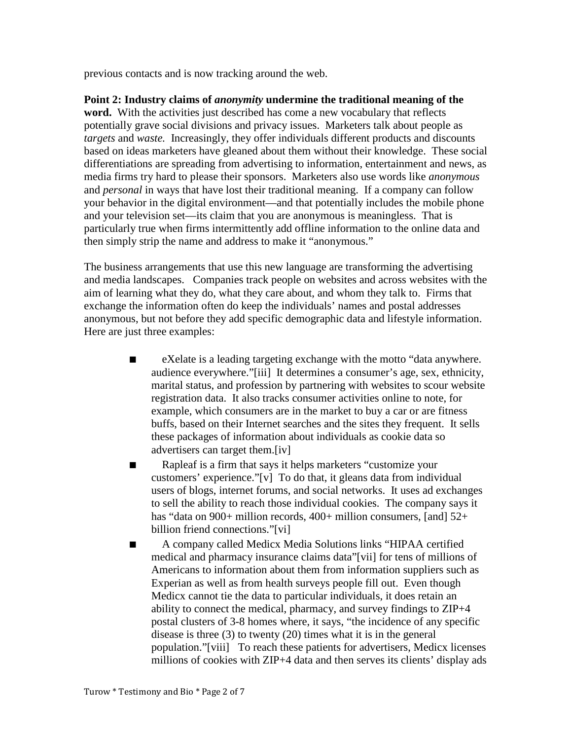previous contacts and is now tracking around the web.

**Point 2: Industry claims of** *anonymity* **undermine the traditional meaning of the word.** With the activities just described has come a new vocabulary that reflects potentially grave social divisions and privacy issues. Marketers talk about people as *targets* and *waste.* Increasingly, they offer individuals different products and discounts based on ideas marketers have gleaned about them without their knowledge. These social differentiations are spreading from advertising to information, entertainment and news, as media firms try hard to please their sponsors. Marketers also use words like *anonymous* and *personal* in ways that have lost their traditional meaning. If a company can follow your behavior in the digital environment—and that potentially includes the mobile phone and your television set—its claim that you are anonymous is meaningless. That is particularly true when firms intermittently add offline information to the online data and then simply strip the name and address to make it "anonymous."

The business arrangements that use this new language are transforming the advertising and media landscapes. Companies track people on websites and across websites with the aim of learning what they do, what they care about, and whom they talk to. Firms that exchange the information often do keep the individuals' names and postal addresses anonymous, but not before they add specific demographic data and lifestyle information. Here are just three examples:

- eXelate is a leading targeting exchange with the motto "data anywhere. audience everywhere.["\[iii\]](x-msg:\--144-#_edn3) It determines a consumer's age, sex, ethnicity, marital status, and profession by partnering with websites to scour website registration data. It also tracks consumer activities online to note, for example, which consumers are in the market to buy a car or are fitness buffs, based on their Internet searches and the sites they frequent. It sells these packages of information about individuals as cookie data so advertisers can target them[.\[iv\]](x-msg:\--144-#_edn4)
- Rapleaf is a firm that says it helps marketers "customize your customers' experience.["\[v\]](x-msg:\--144-#_edn5) To do that, it gleans data from individual users of blogs, internet forums, and social networks. It uses ad exchanges to sell the ability to reach those individual cookies. The company says it has "data on 900+ million records, 400+ million consumers, [and] 52+ billion friend connections.["\[vi\]](x-msg:\--144-#_edn6)
- A company called Medicx Media Solutions links "HIPAA certified medical and pharmacy insurance claims data["\[vii\]](x-msg:\--144-#_edn7) for tens of millions of Americans to information about them from information suppliers such as Experian as well as from health surveys people fill out. Even though Medicx cannot tie the data to particular individuals, it does retain an ability to connect the medical, pharmacy, and survey findings to ZIP+4 postal clusters of 3-8 homes where, it says, "the incidence of any specific disease is three (3) to twenty (20) times what it is in the general population.["\[viii\]](x-msg:\--144-#_edn8) To reach these patients for advertisers, Medicx licenses millions of cookies with ZIP+4 data and then serves its clients' display ads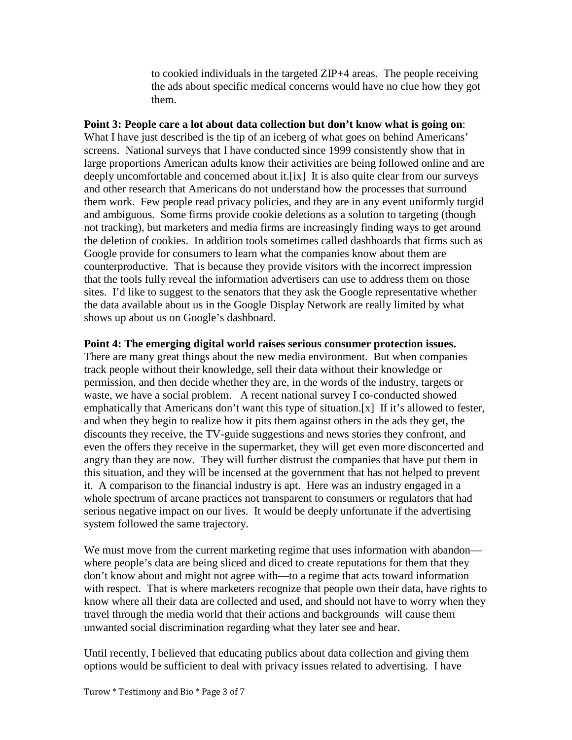to cookied individuals in the targeted ZIP+4 areas. The people receiving the ads about specific medical concerns would have no clue how they got them.

### **Point 3: People care a lot about data collection but don't know what is going on**:

What I have just described is the tip of an iceberg of what goes on behind Americans' screens. National surveys that I have conducted since 1999 consistently show that in large proportions American adults know their activities are being followed online and are deeply uncomfortable and concerned about it[.\[ix\]](x-msg:\--144-#_edn9) It is also quite clear from our surveys and other research that Americans do not understand how the processes that surround them work. Few people read privacy policies, and they are in any event uniformly turgid and ambiguous. Some firms provide cookie deletions as a solution to targeting (though not tracking), but marketers and media firms are increasingly finding ways to get around the deletion of cookies. In addition tools sometimes called dashboards that firms such as Google provide for consumers to learn what the companies know about them are counterproductive. That is because they provide visitors with the incorrect impression that the tools fully reveal the information advertisers can use to address them on those sites. I'd like to suggest to the senators that they ask the Google representative whether the data available about us in the Google Display Network are really limited by what shows up about us on Google's dashboard.

#### **Point 4: The emerging digital world raises serious consumer protection issues.**

There are many great things about the new media environment. But when companies track people without their knowledge, sell their data without their knowledge or permission, and then decide whether they are, in the words of the industry, targets or waste, we have a social problem. A recent national survey I co-conducted showed emphatically that Americans don't want this type of situation[.\[x\]](x-msg:\--144-#_edn10) If it's allowed to fester, and when they begin to realize how it pits them against others in the ads they get, the discounts they receive, the TV-guide suggestions and news stories they confront, and even the offers they receive in the supermarket, they will get even more disconcerted and angry than they are now. They will further distrust the companies that have put them in this situation, and they will be incensed at the government that has not helped to prevent it. A comparison to the financial industry is apt. Here was an industry engaged in a whole spectrum of arcane practices not transparent to consumers or regulators that had serious negative impact on our lives. It would be deeply unfortunate if the advertising system followed the same trajectory.

We must move from the current marketing regime that uses information with abandon where people's data are being sliced and diced to create reputations for them that they don't know about and might not agree with—to a regime that acts toward information with respect. That is where marketers recognize that people own their data, have rights to know where all their data are collected and used, and should not have to worry when they travel through the media world that their actions and backgrounds will cause them unwanted social discrimination regarding what they later see and hear.

Until recently, I believed that educating publics about data collection and giving them options would be sufficient to deal with privacy issues related to advertising. I have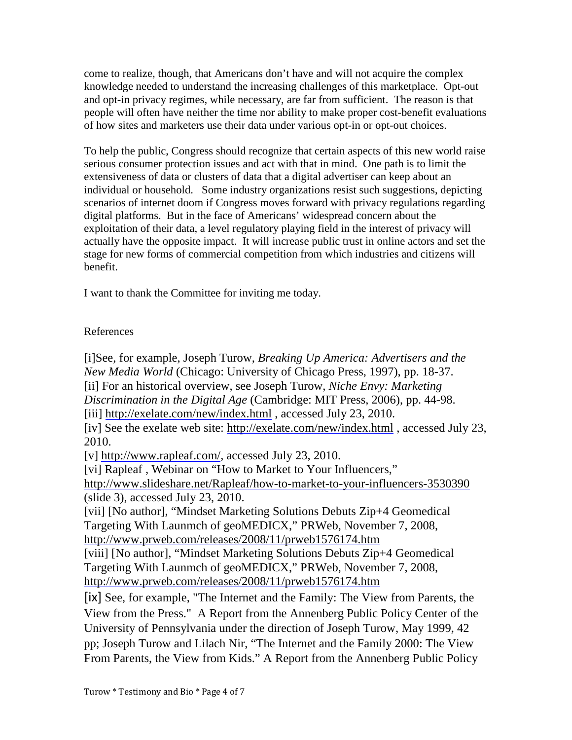come to realize, though, that Americans don't have and will not acquire the complex knowledge needed to understand the increasing challenges of this marketplace. Opt-out and opt-in privacy regimes, while necessary, are far from sufficient. The reason is that people will often have neither the time nor ability to make proper cost-benefit evaluations of how sites and marketers use their data under various opt-in or opt-out choices.

To help the public, Congress should recognize that certain aspects of this new world raise serious consumer protection issues and act with that in mind. One path is to limit the extensiveness of data or clusters of data that a digital advertiser can keep about an individual or household. Some industry organizations resist such suggestions, depicting scenarios of internet doom if Congress moves forward with privacy regulations regarding digital platforms. But in the face of Americans' widespread concern about the exploitation of their data, a level regulatory playing field in the interest of privacy will actually have the opposite impact. It will increase public trust in online actors and set the stage for new forms of commercial competition from which industries and citizens will benefit.

I want to thank the Committee for inviting me today.

### References

[\[i\]S](x-msg:\--144-#_ednref1)ee, for example, Joseph Turow, *Breaking Up America: Advertisers and the New Media World* (Chicago: University of Chicago Press, 1997), pp. 18-37. [\[ii\]](x-msg:\--144-#_ednref2) For an historical overview, see Joseph Turow, *Niche Envy: Marketing Discrimination in the Digital Age* (Cambridge: MIT Press, 2006), pp. 44-98. [\[iii\]](x-msg:\--144-#_ednref3) <http://exelate.com/new/index.html> , accessed July 23, 2010. [\[iv\]](x-msg:\--144-#_ednref4) See the exelate web site:<http://exelate.com/new/index.html> , accessed July 23, 2010. [\[v\]](x-msg:\--144-#_ednref5) [http://www.rapleaf.com/,](http://www.rapleaf.com/) accessed July 23, 2010. [\[vi\]](x-msg:\--144-#_ednref6) Rapleaf, Webinar on "How to Market to Your Influencers," <http://www.slideshare.net/Rapleaf/how-to-market-to-your-influencers-3530390> (slide 3), accessed July 23, 2010. [\[vii\]](x-msg:\--144-#_ednref7) [No author], "Mindset Marketing Solutions Debuts Zip+4 Geomedical Targeting With Launmch of geoMEDICX," PRWeb, November 7, 2008, <http://www.prweb.com/releases/2008/11/prweb1576174.htm> [\[viii\]](x-msg:\--144-#_ednref8) [No author], "Mindset Marketing Solutions Debuts Zip+4 Geomedical Targeting With Launmch of geoMEDICX," PRWeb, November 7, 2008, <http://www.prweb.com/releases/2008/11/prweb1576174.htm> [\[ix\]](x-msg:\--144-#_ednref9) See, for example, "The Internet and the Family: The View from Parents, the

View from the Press." A Report from the Annenberg Public Policy Center of the University of Pennsylvania under the direction of Joseph Turow, May 1999, 42 pp; Joseph Turow and Lilach Nir, "The Internet and the Family 2000: The View From Parents, the View from Kids." A Report from the Annenberg Public Policy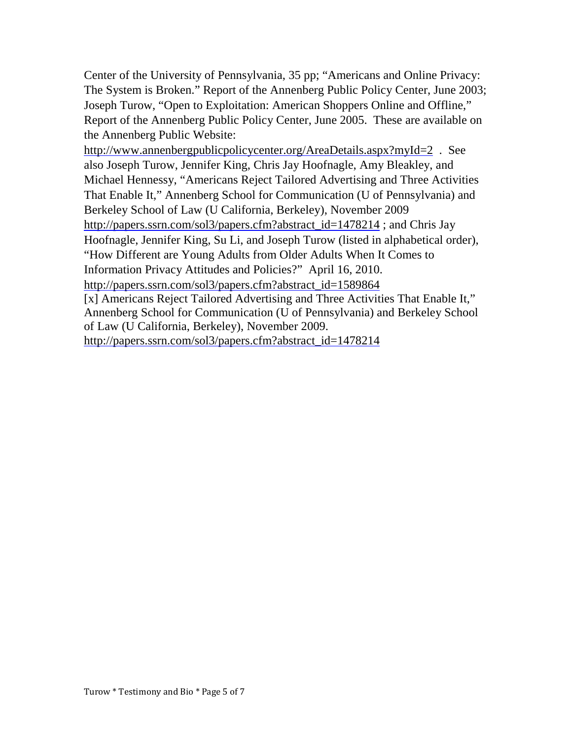Center of the University of Pennsylvania, 35 pp; "Americans and Online Privacy: The System is Broken." Report of the Annenberg Public Policy Center, June 2003; Joseph Turow, "Open to Exploitation: American Shoppers Online and Offline," Report of the Annenberg Public Policy Center, June 2005. These are available on the Annenberg Public Website:

<http://www.annenbergpublicpolicycenter.org/AreaDetails.aspx?myId=2> . See also Joseph Turow, Jennifer King, Chris Jay Hoofnagle, Amy Bleakley, and Michael Hennessy, "Americans Reject Tailored Advertising and Three Activities That Enable It," Annenberg School for Communication (U of Pennsylvania) and Berkeley School of Law (U California, Berkeley), November 2009 [http://papers.ssrn.com/sol3/papers.cfm?abstract\\_id=1478214](http://papers.ssrn.com/sol3/papers.cfm?abstract_id=1478214) ; and Chris Jay Hoofnagle, Jennifer King, Su Li, and Joseph Turow (listed in alphabetical order), "How Different are Young Adults from Older Adults When It Comes to Information Privacy Attitudes and Policies?" April 16, 2010. [http://papers.ssrn.com/sol3/papers.cfm?abstract\\_id=1589864](http://papers.ssrn.com/sol3/papers.cfm?abstract_id=1589864)

[\[x\]](x-msg:\--144-#_ednref10) Americans Reject Tailored Advertising and Three Activities That Enable It," Annenberg School for Communication (U of Pennsylvania) and Berkeley School of Law (U California, Berkeley), November 2009.

[http://papers.ssrn.com/sol3/papers.cfm?abstract\\_id=1478214](http://papers.ssrn.com/sol3/papers.cfm?abstract_id=1478214)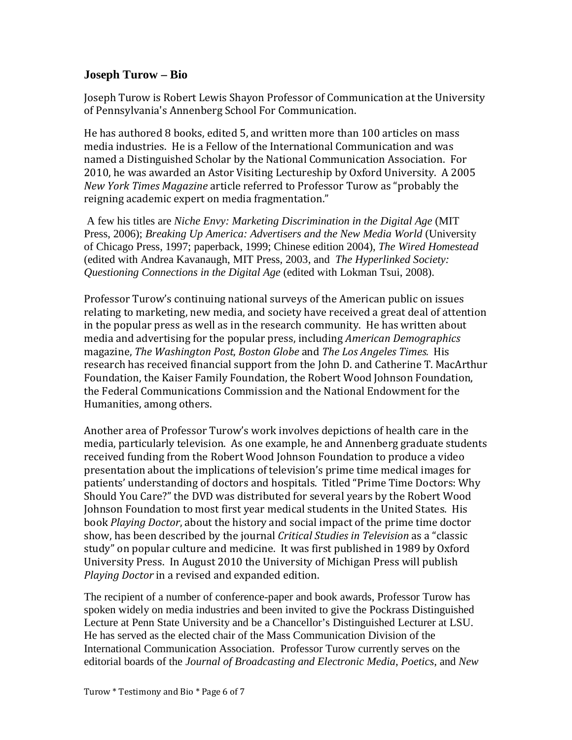### **Joseph Turow – Bio**

Joseph Turow is Robert Lewis Shayon Professor of Communication at the University of Pennsylvania's Annenberg School For Communication.

He has authored 8 books, edited 5, and written more than 100 articles on mass media industries. He is a Fellow of the International Communication and was named a Distinguished Scholar by the National Communication Association. For 2010, he was awarded an Astor Visiting Lectureship by Oxford University. A 2005 *New York Times Magazine* article referred to Professor Turow as "probably the reigning academic expert on media fragmentation."

A few his titles are *Niche Envy: Marketing Discrimination in the Digital Age* (MIT Press, 2006); *Breaking Up America: Advertisers and the New Media World* (University of Chicago Press, 1997; paperback, 1999; Chinese edition 2004), *The Wired Homestead* (edited with Andrea Kavanaugh, MIT Press, 2003, and *The Hyperlinked Society: Questioning Connections in the Digital Age* (edited with Lokman Tsui, 2008).

Professor Turow's continuing national surveys of the American public on issues relating to marketing, new media, and society have received a great deal of attention in the popular press as well as in the research community. He has written about media and advertising for the popular press, including *American Demographics* magazine, *The Washington Post*, *Boston Globe* and *The Los Angeles Times.* His research has received financial support from the John D. and Catherine T. MacArthur Foundation, the Kaiser Family Foundation, the Robert Wood Johnson Foundation, the Federal Communications Commission and the National Endowment for the Humanities, among others.

Another area of Professor Turow's work involves depictions of health care in the media, particularly television. As one example, he and Annenberg graduate students received funding from the Robert Wood Johnson Foundation to produce a video presentation about the implications of television's prime time medical images for patients' understanding of doctors and hospitals. Titled "Prime Time Doctors: Why Should You Care?" the DVD was distributed for several years by the Robert Wood Johnson Foundation to most first year medical students in the United States. His book *Playing Doctor*, about the history and social impact of the prime time doctor show, has been described by the journal *Critical Studies in Television* as a "classic study" on popular culture and medicine. It was first published in 1989 by Oxford University Press. In August 2010 the University of Michigan Press will publish *Playing Doctor* in a revised and expanded edition.

The recipient of a number of conference-paper and book awards, Professor Turow has spoken widely on media industries and been invited to give the Pockrass Distinguished Lecture at Penn State University and be a Chancellor's Distinguished Lecturer at LSU. He has served as the elected chair of the Mass Communication Division of the International Communication Association. Professor Turow currently serves on the editorial boards of the *Journal of Broadcasting and Electronic Media*, *Poetics*, and *New*